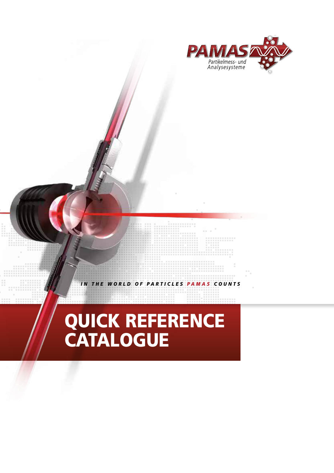

# inna

*IN THE WORLD OF PARTICLES PAMAS COUNTS*

## QUICK REFERENCE CATALOGUE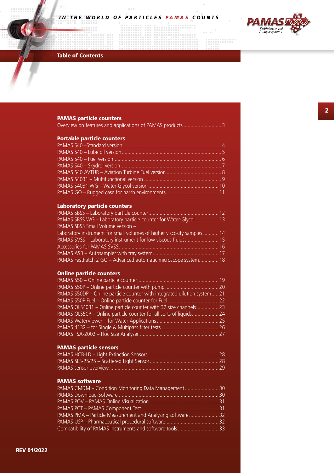$\sim 100$ 

 $\alpha$ 

 $\sim 10^{-11}$ 

199999-00000



### Table of Contents

..........

### PAMAS particle counters

| <b>Portable particle counters</b> |  |
|-----------------------------------|--|

### Laboratory particle counters

| PAMAS SBSS WG - Laboratory particle counter for Water-Glycol 13         |
|-------------------------------------------------------------------------|
| PAMAS SBSS Small Volume version -                                       |
| Laboratory instrument for small volumes of higher viscosity samples  14 |
| PAMAS SVSS - Laboratory instrument for low viscous fluids 15            |
|                                                                         |
|                                                                         |
| PAMAS FastPatch 2 GO - Advanced automatic microscope system 18          |

### Online particle counters

| PAMAS S50DP – Online particle counter with integrated dilution system21 |  |
|-------------------------------------------------------------------------|--|
|                                                                         |  |
| PAMAS OLS4031 – Online particle counter with 32 size channels 23        |  |
|                                                                         |  |
|                                                                         |  |
|                                                                         |  |
|                                                                         |  |

### PAMAS particle sensors

### PAMAS software

| PAMAS CMDM - Condition Monitoring Data Management30       |  |
|-----------------------------------------------------------|--|
|                                                           |  |
|                                                           |  |
|                                                           |  |
| PAMAS PMA – Particle Measurement and Analysing software32 |  |
|                                                           |  |
| Compatibility of PAMAS instruments and software tools33   |  |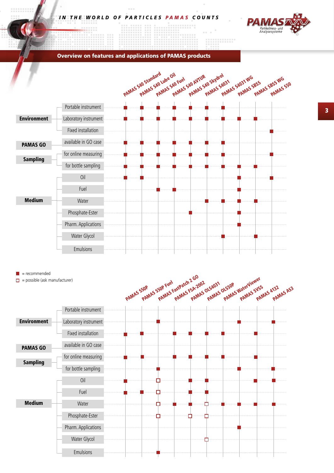. . . . . . . . . .

8. . . . . . .

r.

00000000000

.........



Overview on features and applications of PAMAS products



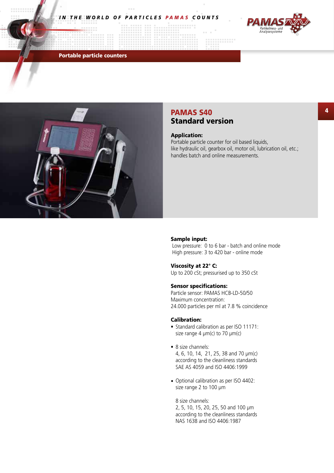

Portable particle counters



### PAMAS S40 Standard version

#### Application:

Portable particle counter for oil based liquids, like hydraulic oil, gearbox oil, motor oil, lubrication oil, etc.; handles batch and online measurements.

--------

#### Sample input:

 Low pressure: 0 to 6 bar - batch and online mode High pressure: 3 to 420 bar - online mode

#### Viscosity at 22° C:

Up to 200 cSt; pressurised up to 350 cSt

### Sensor specifications:

Particle sensor: PAMAS HCB-LD-50/50 Maximum concentration: 24.000 particles per ml at 7.8 % coincidence

#### Calibration:

- Standard calibration as per ISO 11171: size range 4  $\mu$ m(c) to 70  $\mu$ m(c)
- 8 size channels: 4, 6, 10, 14, 21, 25, 38 and 70 µm(c) according to the cleanliness standards SAE AS 4059 and ISO 4406:1999
- Optional calibration as per ISO 4402: size range 2 to 100 µm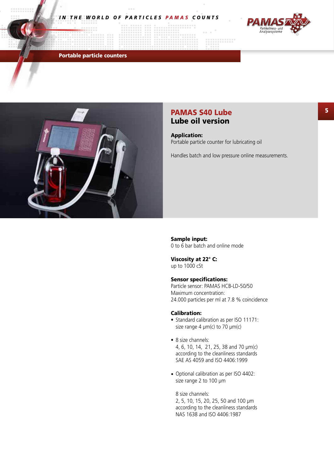

Portable particle counters



### PAMAS S40 Lube Lube oil version

Application: Portable particle counter for lubricating oil

Handles batch and low pressure online measurements.

--------

Sample input: 0 to 6 bar batch and online mode

Viscosity at 22° C: up to 1000 cSt

### Sensor specifications:

Particle sensor: PAMAS HCB-LD-50/50 Maximum concentration: 24.000 particles per ml at 7.8 % coincidence

### Calibration:

- Standard calibration as per ISO 11171: size range 4  $\mu$ m(c) to 70  $\mu$ m(c)
- 8 size channels: 4, 6, 10, 14, 21, 25, 38 and 70 µm(c) according to the cleanliness standards SAE AS 4059 and ISO 4406:1999
- Optional calibration as per ISO 4402: size range 2 to 100 µm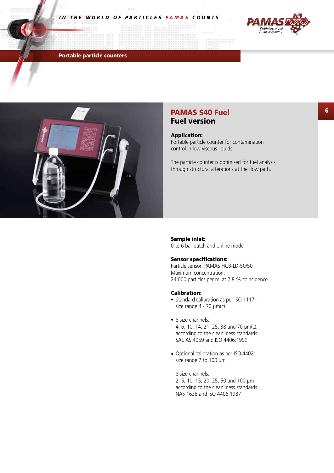

### Portable particle counters



### PAMAS S40 Fuel Fuel version

#### Application:

Portable particle counter for contamination control in low viscous liquids.

The particle counter is optimised for fuel analysis through structural alterations at the flow path.

. . . . . . . . .

### Sample inlet:

0 to 6 bar batch and online mode

#### Sensor specifications:

Particle sensor: PAMAS HCB-LD-50/50 Maximum concentration: 24.000 particles per ml at 7.8 % coincidence

#### Calibration:

- Standard calibration as per ISO 11171: size range 4 - 70 µm(c)
- 8 size channels: 4, 6, 10, 14, 21, 25, 38 and 70 µm(c); according to the cleanliness standards SAE AS 4059 and ISO 4406:1999
- Optional calibration as per ISO 4402: size range 2 to 100 µm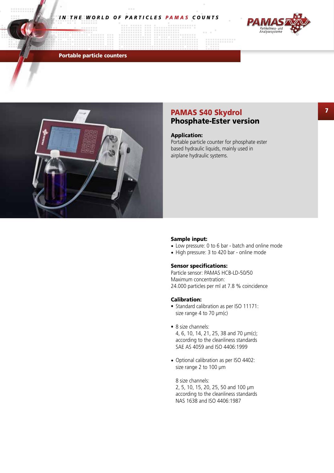

Portable particle counters



### PAMAS S40 Skydrol Phosphate-Ester version

. . . . . . . . . .

### Application:

Portable particle counter for phosphate ester based hydraulic liquids, mainly used in airplane hydraulic systems.

#### Sample input:

- Low pressure: 0 to 6 bar batch and online mode
- High pressure: 3 to 420 bar online mode

#### Sensor specifications:

Particle sensor: PAMAS HCB-LD-50/50 Maximum concentration: 24.000 particles per ml at 7.8 % coincidence

#### Calibration:

- Standard calibration as per ISO 11171: size range 4 to 70  $\mu$ m(c)
- 8 size channels: 4, 6, 10, 14, 21, 25, 38 and 70 µm(c); according to the cleanliness standards SAE AS 4059 and ISO 4406:1999
- Optional calibration as per ISO 4402: size range 2 to 100 µm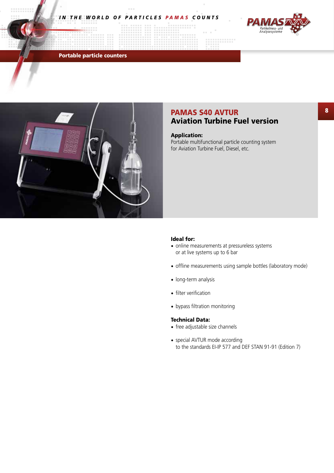

Portable particle counters



### PAMAS S40 AVTUR Aviation Turbine Fuel version

..........

### Application:

Portable multifunctional particle counting system for Aviation Turbine Fuel, Diesel, etc.

#### Ideal for:

- online measurements at pressureless systems or at live systems up to 6 bar
- offline measurements using sample bottles (laboratory mode)
- long-term analysis
- filter verification
- bypass filtration monitoring

### Technical Data:

- free adjustable size channels
- special AVTUR mode according to the standards EI-IP 577 and DEF STAN 91-91 (Edition 7)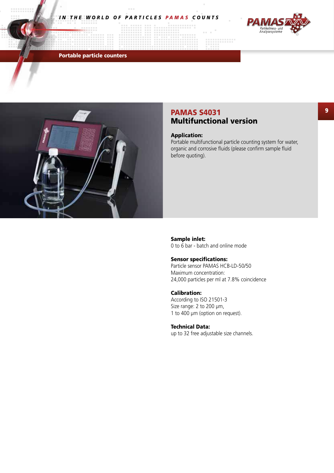

Portable particle counters



### PAMAS S4031 Multifunctional version

============

### Application:

Portable multifunctional particle counting system for water, organic and corrosive fluids (please confirm sample fluid before quoting).

### Sample inlet:

0 to 6 bar - batch and online mode

### Sensor specifications:

Particle sensor PAMAS HCB-LD-50/50 Maximum concentration: 24,000 particles per ml at 7.8% coincidence

### Calibration:

According to ISO 21501-3 Size range: 2 to 200 µm, 1 to 400 µm (option on request).

### Technical Data:

up to 32 free adjustable size channels.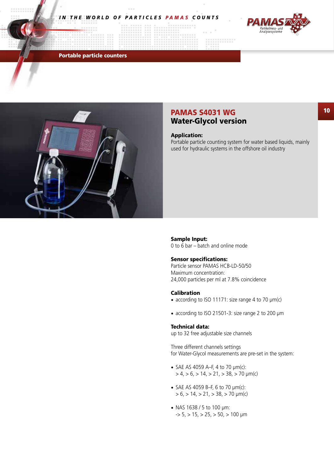

Portable particle counters



### PAMAS S4031 WG Water-Glycol version

.........

#### Application:

Portable particle counting system for water based liquids, mainly used for hydraulic systems in the offshore oil industry

#### Sample Input:

0 to 6 bar – batch and online mode

#### Sensor specifications:

Particle sensor PAMAS HCB-LD-50/50 Maximum concentration: 24,000 particles per ml at 7.8% coincidence

#### Calibration

- according to ISO 11171: size range 4 to 70  $\mu$ m(c)
- according to ISO 21501-3: size range 2 to 200 µm

#### Technical data:

up to 32 free adjustable size channels

Three different channels settings for Water-Glycol measurements are pre-set in the system:

- SAE AS 4059 A–F, 4 to 70  $\mu$ m(c):  $> 4, > 6, > 14, > 21, > 38, > 70 \mu m(c)$
- SAE AS 4059 B–F, 6 to 70 µm(c):  $> 6, > 14, > 21, > 38, > 70 \mu m(c)$
- NAS 1638 / 5 to 100 µm:  $-$ > 5, > 15, > 25, > 50, > 100 µm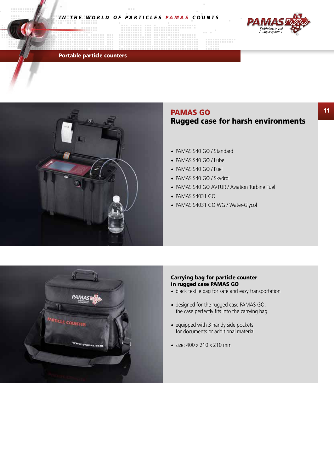

### Portable particle counters



### PAMAS GO Rugged case for harsh environments

..........

- PAMAS S40 GO / Standard
- PAMAS S40 GO / Lube
- PAMAS S40 GO / Fuel
- PAMAS S40 GO / Skydrol
- PAMAS S40 GO AVTUR / Aviation Turbine Fuel
- PAMAS S4031 GO
- PAMAS S4031 GO WG / Water-Glycol



### Carrying bag for particle counter in rugged case PAMAS GO

- black textile bag for safe and easy transportation
- designed for the rugged case PAMAS GO: the case perfectly fits into the carrying bag.
- equipped with 3 handy side pockets for documents or additional material
- size: 400 x 210 x 210 mm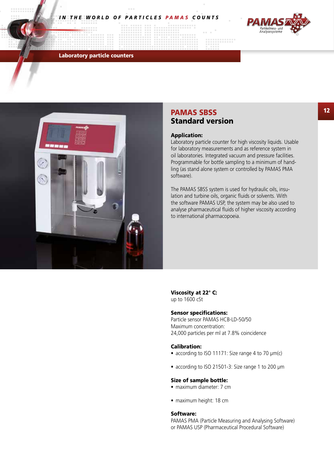

Laboratory particle counters



### PAMAS SBSS Standard version

#### Application:

Laboratory particle counter for high viscosity liquids. Usable for laboratory measurements and as reference system in oil laboratories. Integrated vacuum and pressure facilities. Programmable for bottle sampling to a minimum of handling (as stand alone system or controlled by PAMAS PMA software).

11111111

The PAMAS SBSS system is used for hydraulic oils, insulation and turbine oils, organic fluids or solvents. With the software PAMAS USP, the system may be also used to analyse pharmaceutical fluids of higher viscosity according to international pharmacopoeia.

Viscosity at 22° C: up to 1600 cSt

#### Sensor specifications:

Particle sensor PAMAS HCB-LD-50/50 Maximum concentration: 24,000 particles per ml at 7.8% coincidence

#### Calibration:

- according to ISO 11171: Size range 4 to 70  $\mu$ m(c)
- according to ISO 21501-3: Size range 1 to 200 µm

#### Size of sample bottle:

- maximum diameter: 7 cm
- maximum height: 18 cm

#### Software:

PAMAS PMA (Particle Measuring and Analysing Software) or PAMAS USP (Pharmaceutical Procedural Software)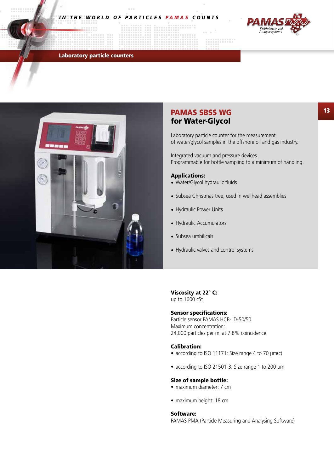

Laboratory particle counters



### PAMAS SBSS WG for Water-Glycol

Laboratory particle counter for the measurement of water/glycol samples in the offshore oil and gas industry.

--------

Integrated vacuum and pressure devices. Programmable for bottle sampling to a minimum of handling.

### Applications:

- Water/Glycol hydraulic fluids
- Subsea Christmas tree, used in wellhead assemblies
- Hydraulic Power Units
- Hydraulic Accumulators
- Subsea umbilicals
- Hydraulic valves and control systems

### Viscosity at 22° C: up to 1600 cSt

#### Sensor specifications:

Particle sensor PAMAS HCB-LD-50/50 Maximum concentration: 24,000 particles per ml at 7.8% coincidence

#### Calibration:

- according to ISO 11171: Size range 4 to 70 µm(c)
- according to ISO 21501-3: Size range 1 to 200 µm

#### Size of sample bottle:

- maximum diameter: 7 cm
- maximum height: 18 cm

#### Software:

PAMAS PMA (Particle Measuring and Analysing Software)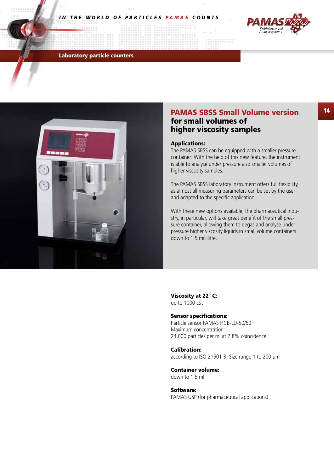

Laboratory particle counters



### PAMAS SBSS Small Volume version for small volumes of higher viscosity samples

11111111

#### Applications:

The PAMAS SBSS can be equipped with a smaller pressure container: With the help of this new feature, the instrument is able to analyse under pressure also smaller volumes of higher viscosity samples.

The PAMAS SBSS laboratory instrument offers full flexibility, as almost all measuring parameters can be set by the user and adapted to the specific application.

With these new options available, the pharmaceutical industry, in particular, will take great benefit of the small pressure container, allowing them to degas and analyse under pressure higher viscosity liquids in small volume containers down to 1.5 millilitre.

Viscosity at 22° C: up to 1000 cSt

### Sensor specifications:

Particle sensor PAMAS HCB-LD-50/50 Maximum concentration: 24,000 particles per ml at 7.8% coincidence

Calibration: according to ISO 21501-3: Size range 1 to 200 µm

Container volume: down to 1.5 ml

Software: PAMAS USP (for pharmaceutical applications)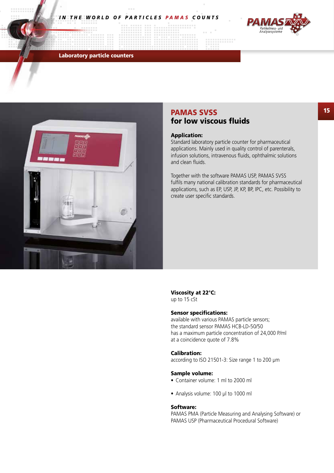

Laboratory particle counters



### PAMAS SVSS for low viscous fluids

#### Application:

Standard laboratory particle counter for pharmaceutical applications. Mainly used in quality control of parenterals, infusion solutions, intravenous fluids, ophthalmic solutions and clean fluids.

**STATISTICS** 

Together with the software PAMAS USP, PAMAS SVSS fulfils many national calibration standards for pharmaceutical applications, such as EP, USP, JP, KP, BP, IPC, etc. Possibility to create user specific standards.

### Viscosity at 22°C:

up to 15 cSt

### Sensor specifications:

available with various PAMAS particle sensors; the standard sensor PAMAS HCB-LD-50/50 has a maximum particle concentration of 24,000 P/ml at a coincidence quote of 7.8%

#### Calibration:

according to ISO 21501-3: Size range 1 to 200 µm

#### Sample volume:

- Container volume: 1 ml to 2000 ml
- Analysis volume: 100 µl to 1000 ml

#### Software:

PAMAS PMA (Particle Measuring and Analysing Software) or PAMAS USP (Pharmaceutical Procedural Software)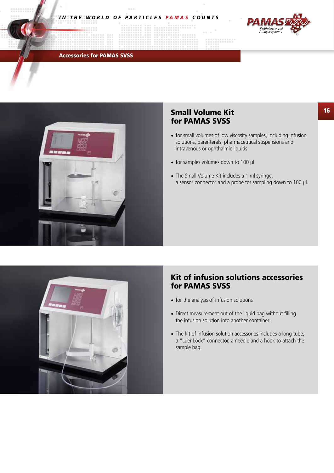

### Accessories for PAMAS SVSS



### Small Volume Kit for PAMAS SVSS

. . . . . . . . . .

- for small volumes of low viscosity samples, including infusion solutions, parenterals, pharmaceutical suspensions and intravenous or ophthalmic liquids
- for samples volumes down to 100 µl
- The Small Volume Kit includes a 1 ml syringe, a sensor connector and a probe for sampling down to 100 µl.



### Kit of infusion solutions accessories for PAMAS SVSS

- for the analysis of infusion solutions
- Direct measurement out of the liquid bag without filling the infusion solution into another container.
- The kit of infusion solution accessories includes a long tube, a "Luer Lock" connector, a needle and a hook to attach the sample bag.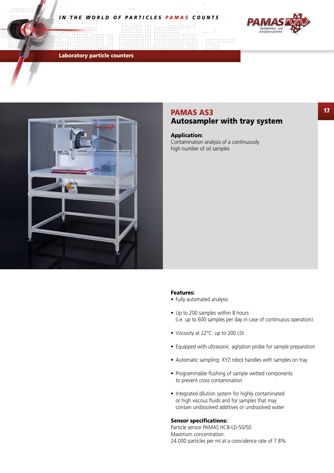

Laboratory particle counters



### PAMAS AS3 Autosampler with tray system

a mata

#### Application:

Contamination analysis of a continuously high number of oil samples

### Features:

- Fully automated analysis
- Up to 200 samples within 8 hours (i.e. up to 600 samples per day in case of continuous operation).
- Viscosity at 22°C: up to 200 cSt
- Equipped with ultrasonic agitation probe for sample preparation
- Automatic sampling: XYZ robot handles with samples on tray
- Programmable flushing of sample wetted components to prevent cross contamination
- Integrated dilution system for highly contaminated or high viscous fluids and for samples that may contain undissolved additives or undissolved water

### Sensor specifications:

Particle sensor PAMAS HCB-LD-50/50 Maximum concentration: 24.000 particles per ml at a coincidence rate of 7.8%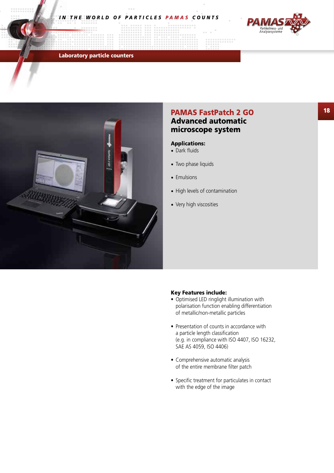

Laboratory particle counters



### PAMAS FastPatch 2 GO Advanced automatic microscope system

. . . . . . . .

### Applications:

- Dark fluids
- Two phase liquids
- Emulsions
- High levels of contamination
- Very high viscosities

### Key Features include:

- Optimised LED ringlight illumination with polarisation function enabling differentiation of metallic/non-metallic particles
- Presentation of counts in accordance with a particle length classification (e.g. in compliance with ISO 4407, ISO 16232, SAE AS 4059, ISO 4406)
- Comprehensive automatic analysis of the entire membrane filter patch
- Specific treatment for particulates in contact with the edge of the image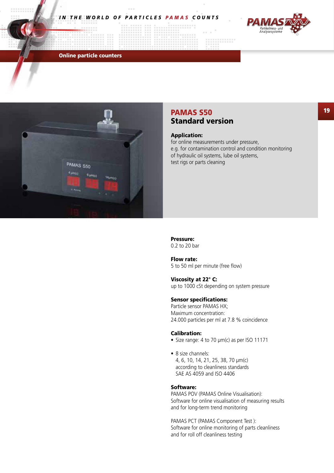

### Online particle counters



### PAMAS S50 Standard version

#### Application:

for online measurements under pressure, e.g. for contamination control and condition monitoring of hydraulic oil systems, lube oil systems, test rigs or parts cleaning

. . . . . . . . .

### Pressure:

0.2 to 20 bar

### Flow rate: 5 to 50 ml per minute (free flow)

### Viscosity at 22° C:

up to 1000 cSt depending on system pressure

### Sensor specifications:

Particle sensor PAMAS HX; Maximum concentration: 24.000 particles per ml at 7.8 % coincidence

#### Calibration:

- Size range: 4 to 70 µm(c) as per ISO 11171
- 8 size channels: 4, 6, 10, 14, 21, 25, 38, 70 µm(c) according to cleanliness standards SAE AS 4059 and ISO 4406

#### Software:

PAMAS POV (PAMAS Online Visualisation): Software for online visualisation of measuring results and for long-term trend monitoring

PAMAS PCT (PAMAS Component Test ): Software for online monitoring of parts cleanliness and for roll off cleanliness testing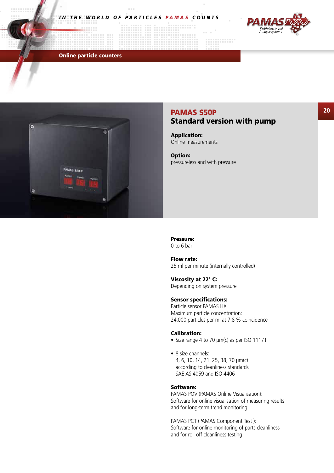

Online particle counters



### PAMAS S50P Standard version with pump

..........

Application: Online measurements

Option: pressureless and with pressure

#### Pressure: 0 to 6 bar

Flow rate: 25 ml per minute (internally controlled)

### Viscosity at 22° C: Depending on system pressure

### Sensor specifications:

Particle sensor PAMAS HX Maximum particle concentration: 24.000 particles per ml at 7.8 % coincidence

#### Calibration:

- Size range 4 to 70  $\mu$ m(c) as per ISO 11171
- 8 size channels: 4, 6, 10, 14, 21, 25, 38, 70 µm(c) according to cleanliness standards SAE AS 4059 and ISO 4406

#### Software:

PAMAS POV (PAMAS Online Visualisation): Software for online visualisation of measuring results and for long-term trend monitoring

PAMAS PCT (PAMAS Component Test ): Software for online monitoring of parts cleanliness and for roll off cleanliness testing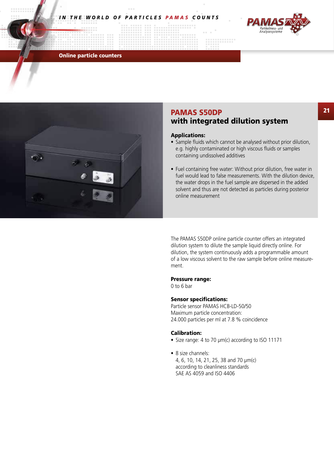

#### Online particle counters



### PAMAS S50DP with integrated dilution system

#### Applications:

- Sample fluids which cannot be analysed without prior dilution, e.g. highly contaminated or high viscous fluids or samples containing undissolved additives
- Fuel containing free water: Without prior dilution, free water in fuel would lead to false measurements. With the dilution device, the water drops in the fuel sample are dispersed in the added solvent and thus are not detected as particles during posterior online measurement

The PAMAS S50DP online particle counter offers an integrated dilution system to dilute the sample liquid directly online. For dilution, the system continuously adds a programmable amount of a low viscous solvent to the raw sample before online measurement.

### Pressure range:

0 to 6 bar

### Sensor specifications:

Particle sensor PAMAS HCB-LD-50/50 Maximum particle concentration: 24.000 particles per ml at 7.8 % coincidence

#### Calibration:

- Size range: 4 to 70  $\mu$ m(c) according to ISO 11171
- 8 size channels: 4, 6, 10, 14, 21, 25, 38 and 70 µm(c) according to cleanliness standards SAE AS 4059 and ISO 4406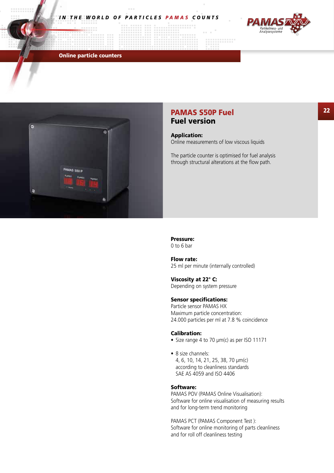

Online particle counters



### PAMAS S50P Fuel Fuel version

Application:

Online measurements of low viscous liquids

The particle counter is optimised for fuel analysis through structural alterations at the flow path.

..........

#### Pressure: 0 to 6 bar

Flow rate: 25 ml per minute (internally controlled)

### Viscosity at 22° C: Depending on system pressure

### Sensor specifications:

Particle sensor PAMAS HX Maximum particle concentration: 24.000 particles per ml at 7.8 % coincidence

#### Calibration:

- Size range 4 to 70  $\mu$ m(c) as per ISO 11171
- 8 size channels: 4, 6, 10, 14, 21, 25, 38, 70 µm(c) according to cleanliness standards SAE AS 4059 and ISO 4406

#### Software:

PAMAS POV (PAMAS Online Visualisation): Software for online visualisation of measuring results and for long-term trend monitoring

PAMAS PCT (PAMAS Component Test ): Software for online monitoring of parts cleanliness and for roll off cleanliness testing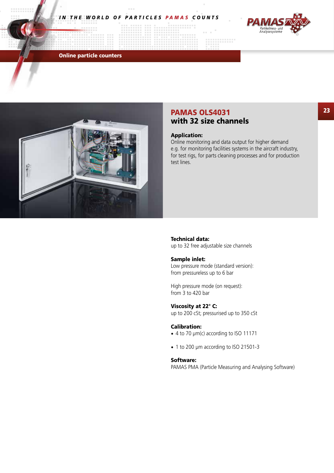

Online particle counters



### PAMAS OLS4031 with 32 size channels

#### Application:

Online monitoring and data output for higher demand e.g. for monitoring facilities systems in the aircraft industry, for test rigs, for parts cleaning processes and for production test lines.

### Technical data:

up to 32 free adjustable size channels

#### Sample inlet:

Low pressure mode (standard version): from pressureless up to 6 bar

High pressure mode (on request): from 3 to 420 bar

### Viscosity at 22° C:

up to 200 cSt; pressurised up to 350 cSt

#### Calibration:

- 4 to 70 µm(c) according to ISO 11171
- 1 to 200 µm according to ISO 21501-3

### Software:

PAMAS PMA (Particle Measuring and Analysing Software)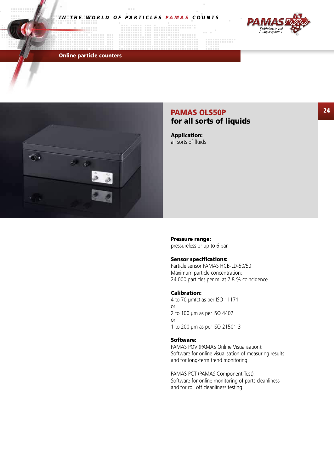

Online particle counters



### PAMAS OLS50P for all sorts of liquids

::::::::::::

Application: all sorts of fluids

Pressure range: pressureless or up to 6 bar

Sensor specifications:

Particle sensor PAMAS HCB-LD-50/50 Maximum particle concentration: 24.000 particles per ml at 7.8 % coincidence

### Calibration:

4 to 70 µm(c) as per ISO 11171 or 2 to 100 µm as per ISO 4402 or 1 to 200 µm as per ISO 21501-3

#### Software:

PAMAS POV (PAMAS Online Visualisation): Software for online visualisation of measuring results and for long-term trend monitoring

PAMAS PCT (PAMAS Component Test): Software for online monitoring of parts cleanliness and for roll off cleanliness testing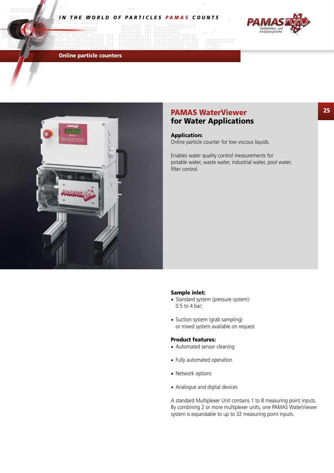

### Online particle counters



### PAMAS WaterViewer for Water Applications

#### Application:

Online particle counter for low viscous liquids.

888888

Enables water quality control measurements for potable water, waste water, industrial water, pool water, filter control.

#### Sample inlet:

- Standard system (pressure system):  $0.5$  to 4 bar;
- Suction system (grab sampling) or mixed system available on request

#### Product features:

- Automated sensor cleaning
- Fully automated operation
- Network options
- Analogue and digital devices

A standard Multiplexer Unit contains 1 to 8 measuring point inputs. By combining 2 or more multiplexer units, one PAMAS WaterViewer system is expandable to up to 32 measuring point inputs.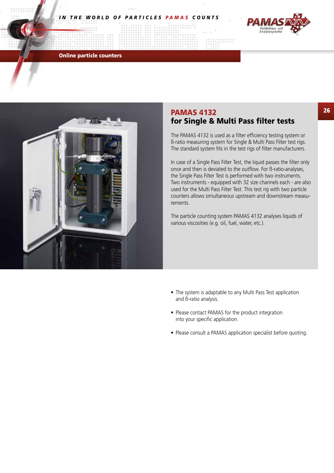

Online particle counters



### PAMAS 4132 for Single & Multi Pass filter tests

an an a

The PAMAS 4132 is used as a filter efficiency testing system or ß-ratio measuring system for Single & Multi Pass Filter test rigs. The standard system fits in the test rigs of filter manufacturers.

In case of a Single Pass Filter Test, the liquid passes the filter only once and then is deviated to the outflow. For ß-ratio-analyses, the Single Pass Filter Test is performed with two instruments. Two instruments - equipped with 32 size channels each - are also used for the Multi Pass Filter Test. This test rig with two particle counters allows simultaneous upstream and downstream measurements.

The particle counting system PAMAS 4132 analyses liquids of various viscosities (e.g. oil, fuel, water, etc.).

- The system is adaptable to any Multi Pass Test application and ß-ratio analysis.
- Please contact PAMAS for the product integration into your specific application.
- Please consult a PAMAS application specialist before quoting.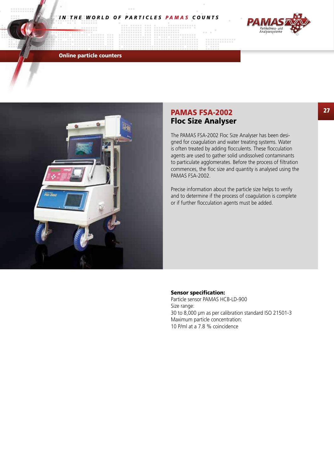

Online particle counters



### PAMAS FSA-2002 Floc Size Analyser

The PAMAS FSA-2002 Floc Size Analyser has been designed for coagulation and water treating systems. Water is often treated by adding flocculents. These flocculation agents are used to gather solid undissolved contaminants to particulate agglomerates. Before the process of filtration commences, the floc size and quantity is analysed using the PAMAS FSA-2002.

,,,,,,,,,

Precise information about the particle size helps to verify and to determine if the process of coagulation is complete or if further flocculation agents must be added.

### Sensor specification:

Particle sensor PAMAS HCB-LD-900 Size range: 30 to 8,000 µm as per calibration standard ISO 21501-3 Maximum particle concentration: 10 P/ml at a 7.8 % coincidence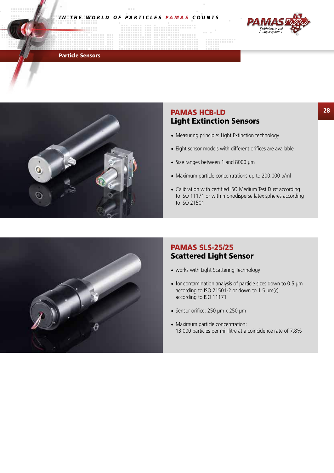

### Particle Sensors



### PAMAS HCB-LD Light Extinction Sensors

• Measuring principle: Light Extinction technology

--------

- Eight sensor models with different orifices are available
- Size ranges between 1 and 8000 µm
- Maximum particle concentrations up to 200.000 p/ml
- Calibration with certified ISO Medium Test Dust according to ISO 11171 or with monodisperse latex spheres according to ISO 21501



### PAMAS SLS-25/25 Scattered Light Sensor

- works with Light Scattering Technology
- for contamination analysis of particle sizes down to 0.5 µm according to ISO 21501-2 or down to 1.5 µm(c) according to ISO 11171
- Sensor orifice: 250 µm x 250 µm
- Maximum particle concentration: 13.000 particles per millilitre at a coincidence rate of 7,8%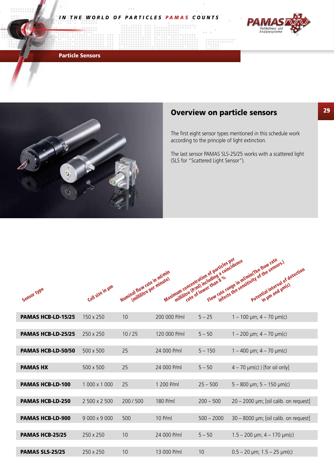

### Particle Sensors



### Overview on particle sensors

**Bibliographic** 

The first eight sensor types mentioned in this schedule work according to the principle of light extinction.

The last sensor PAMAS SLS-25/25 works with a scattered light (SLS for "Scattered Light Sensor").

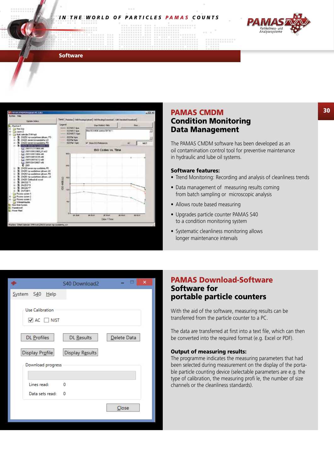

#### **Software**



### PAMAS CMDM Condition Monitoring Data Management

5555577777

The PAMAS CMDM software has been developed as an oil contamination control tool for preventive maintenance in hydraulic and lube oil systems.

#### Software features:

- Trend Monitoring: Recording and analysis of cleanliness trends
- Data management of measuring results coming from batch sampling or microscopic analysis
- Allows route based measuring
- Upgrades particle counter PAMAS S40 to a condition monitoring system
- Systematic cleanliness monitoring allows longer maintenance intervals

|                                                         | S40 Download2   | ×           |
|---------------------------------------------------------|-----------------|-------------|
| System S40 Help                                         |                 |             |
| Use Calibration<br>$\blacktriangleright$ AC $\Box$ NIST |                 |             |
| DL Profiles                                             | DL Results      | Delete Data |
| Display Profile                                         | Display Results |             |
| Download progress                                       |                 |             |
|                                                         |                 |             |
| Lines read:                                             | 0               |             |
| Data sets read:                                         | 0               |             |
|                                                         |                 | Close       |

### PAMAS Download-Software Software for portable particle counters

With the aid of the software, measuring results can be transferred from the particle counter to a PC.

The data are transferred at first into a text file, which can then be converted into the required format (e.g. Excel or PDF).

#### Output of measuring results:

The programme indicates the measuring parameters that had been selected during measurement on the display of the portable particle counting device (selectable parameters are e.g. the type of calibration, the measuring profi le, the number of size channels or the cleanliness standards).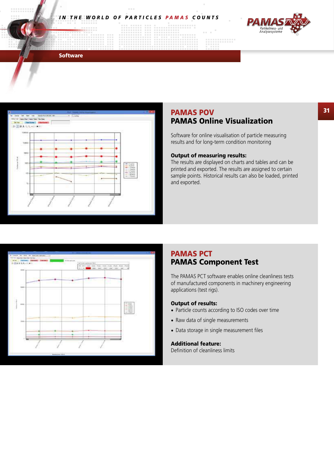**COLLECT** 

ùб.



### **Software**



### PAMAS POV PAMAS Online Visualization

Software for online visualisation of particle measuring results and for long-term condition monitoring

#### Output of measuring results:

**COLLA** 

00000000000

The results are displayed on charts and tables and can be printed and exported. The results are assigned to certain sample points. Historical results can also be loaded, printed and exported.



### PAMAS PCT PAMAS Component Test

The PAMAS PCT software enables online cleanliness tests of manufactured components in machinery engineering applications (test rigs).

### Output of results:

- Particle counts according to ISO codes over time
- Raw data of single measurements
- Data storage in single measurement files

### Additional feature:

Definition of cleanliness limits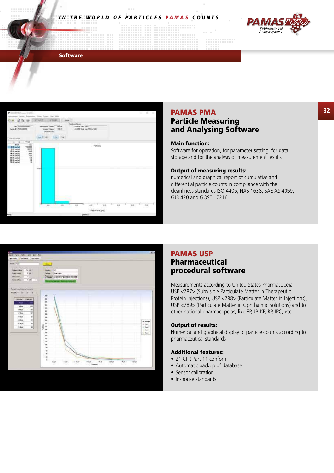

### **Software**



### PAMAS PMA

### Particle Measuring and Analysing Software

::::::::::::

### Main function:

Software for operation, for parameter setting, for data storage and for the analysis of measurement results

### Output of measuring results:

numerical and graphical report of cumulative and differential particle counts in compliance with the cleanliness standards ISO 4406, NAS 1638, SAE AS 4059, GJB 420 and GOST 17216



### PAMAS USP Pharmaceutical procedural software

Measurements according to United States Pharmacopeia USP <787> (Subvisible Particulate Matter in Therapeutic Protein Injections), USP <788> (Particulate Matter in Injections), USP <789> (Particulate Matter in Ophthalmic Solutions) and to other national pharmacopeias, like EP, JP, KP, BP, IPC, etc.

### Output of results:

Numerical and graphical display of particle counts according to pharmaceutical standards

### Additional features:

- 21 CFR Part 11 conform
- Automatic backup of database
- Sensor calibration
- In-house standards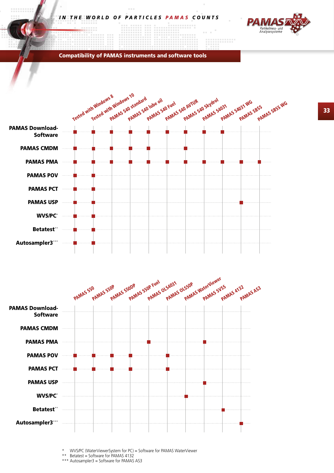:::::::::

ing page

**COLLA** 

00000000000

**College** 

**MARKET** 



Compatibility of PAMAS instruments and software tools

**COLOR** 

 $\mathcal{L}(\mathcal{A})$ 





\* WVS/PC (WaterViewerSystem for PC) = Software for PAMAS WaterViewer

\*\* Betatest = Software for PAMAS 4132

\*\*\* Autosampler3 = Software for PAMAS AS3